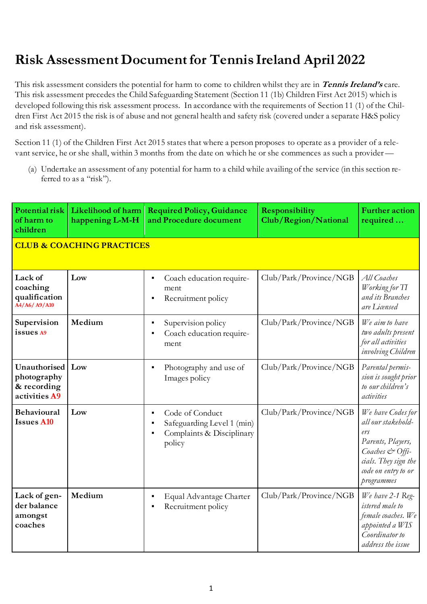## **Risk Assessment Document for Tennis Ireland April 2022**

This risk assessment considers the potential for harm to come to children whilst they are in **Tennis Ireland's** care. This risk assessment precedes the Child Safeguarding Statement (Section 11 (1b) Children First Act 2015) which is developed following this risk assessment process. In accordance with the requirements of Section 11 (1) of the Children First Act 2015 the risk is of abuse and not general health and safety risk (covered under a separate H&S policy and risk assessment).

Section 11 (1) of the Children First Act 2015 states that where a person proposes to operate as a provider of a relevant service, he or she shall, within 3 months from the date on which he or she commences as such a provider —

(a) Undertake an assessment of any potential for harm to a child while availing of the service (in this section referred to as a "risk").

| Potential risk<br>of harm to<br>children                    | Likelihood of harm<br>happening L-M-H | <b>Required Policy, Guidance</b><br>and Procedure document                           | Responsibility<br>Club/Region/National | <b>Further action</b><br>required                                                                                                                   |
|-------------------------------------------------------------|---------------------------------------|--------------------------------------------------------------------------------------|----------------------------------------|-----------------------------------------------------------------------------------------------------------------------------------------------------|
| <b>CLUB &amp; COACHING PRACTICES</b>                        |                                       |                                                                                      |                                        |                                                                                                                                                     |
| Lack of<br>coaching<br>qualification<br>A4/A6/A9/A10        | Low                                   | Coach education require-<br>ment<br>Recruitment policy                               | Club/Park/Province/NGB                 | All Coaches<br>Working for TI<br>and its Branches<br>are Licensed                                                                                   |
| Supervision<br>issues A9                                    | Medium                                | Supervision policy<br>Coach education require-<br>ment                               | Club/Park/Province/NGB                 | We aim to have<br>two adults present<br>for all activities<br>involving Children                                                                    |
| Unauthorised<br>photography<br>& recording<br>activities A9 | Low                                   | Photography and use of<br>Images policy                                              | Club/Park/Province/NGB                 | Parental permis-<br>sion is sought prior<br>to our children's<br>activities                                                                         |
| <b>Behavioural</b><br><b>Issues A10</b>                     | Low                                   | Code of Conduct<br>Safeguarding Level 1 (min)<br>Complaints & Disciplinary<br>policy | Club/Park/Province/NGB                 | We have Codes for<br>all our stakehold-<br>ers<br>Parents, Players,<br>Coaches & Offi-<br>cials. They sign the<br>code on entry to or<br>programmes |
| Lack of gen-<br>der balance<br>amongst<br>coaches           | Medium                                | Equal Advantage Charter<br>Recruitment policy                                        | Club/Park/Province/NGB                 | We have 2-1 Reg-<br>istered male to<br>female coaches. We<br>appointed a WIS<br>Coordinator to<br>address the issue                                 |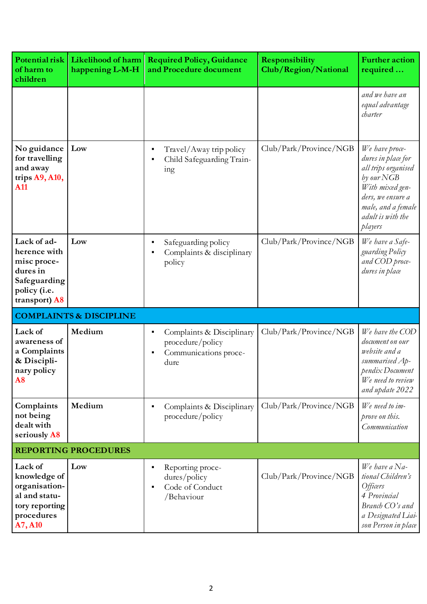| Potential risk<br>of harm to<br>children                                                                | Likelihood of harm<br>happening L-M-H | <b>Required Policy, Guidance</b><br>and Procedure document                                       | Responsibility<br>Club/Region/National | <b>Further action</b><br>required                                                                                                                                       |
|---------------------------------------------------------------------------------------------------------|---------------------------------------|--------------------------------------------------------------------------------------------------|----------------------------------------|-------------------------------------------------------------------------------------------------------------------------------------------------------------------------|
|                                                                                                         |                                       |                                                                                                  |                                        | and we have an<br>equal advantage<br>charter                                                                                                                            |
| No guidance<br>for travelling<br>and away<br>trips A9, A10,<br><b>A11</b>                               | Low                                   | Travel/Away trip policy<br>Child Safeguarding Train-<br>1ng                                      | Club/Park/ Province/NGB                | We have proce-<br>dures in place for<br>all trips organised<br>by our NGB<br>With mixed gen-<br>ders, we ensure a<br>male, and a female<br>adult is with the<br>players |
| Lack of ad-<br>herence with<br>misc proce-<br>dures in<br>Safeguarding<br>policy (i.e.<br>transport) A8 | Low                                   | Safeguarding policy<br>Complaints & disciplinary<br>policy                                       | Club/Park/ Province/NGB                | We have a Safe-<br>guarding Policy<br>and COD proce-<br>dures in place                                                                                                  |
|                                                                                                         | <b>COMPLAINTS &amp; DISCIPLINE</b>    |                                                                                                  |                                        |                                                                                                                                                                         |
| Lack of<br>awareness of<br>a Complaints<br>& Discipli-<br>nary policy<br>A8                             | Medium                                | Complaints & Disciplinary<br>$\blacksquare$<br>procedure/policy<br>Communications proce-<br>dure | Club/Park/Province/NGB                 | We have the COD<br>document on our<br>website and a<br>summarised Ap-<br>pendix Document<br>We need to review<br>and update 2022                                        |
| Complaints<br>not being<br>dealt with<br>seriously A8                                                   | Medium                                | Complaints & Disciplinary<br>procedure/policy                                                    | Club/Park/Province/NGB                 | We need to im-<br>prove on this.<br>Communication                                                                                                                       |
|                                                                                                         | <b>REPORTING PROCEDURES</b>           |                                                                                                  |                                        |                                                                                                                                                                         |
| Lack of<br>knowledge of<br>organisation-<br>al and statu-<br>tory reporting<br>procedures<br>A7, A10    | Low                                   | Reporting proce-<br>dures/policy<br>Code of Conduct<br>п<br>/Behaviour                           | Club/Park/Province/NGB                 | We have a $Na-$<br>tional Children's<br><i>Officers</i><br>4 Provincial<br>Branch CO's and<br>a Designated Liai-<br>son Person in place                                 |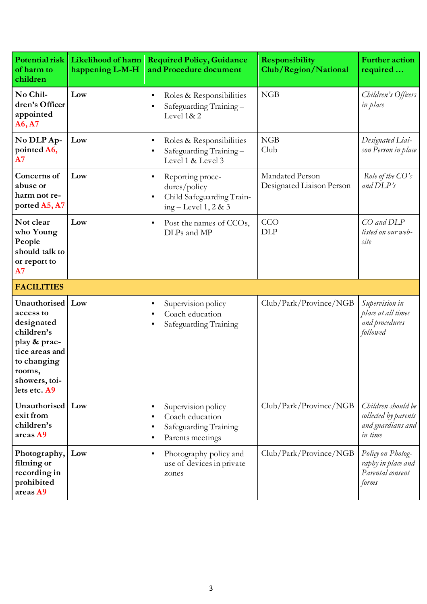| Potential risk<br>of harm to<br>children                                                                                                          | Likelihood of harm<br>happening L-M-H | <b>Required Policy, Guidance</b><br>and Procedure document                              | Responsibility<br>Club/Region/National       | <b>Further action</b><br>required                                          |
|---------------------------------------------------------------------------------------------------------------------------------------------------|---------------------------------------|-----------------------------------------------------------------------------------------|----------------------------------------------|----------------------------------------------------------------------------|
| No Chil-<br>dren's Officer<br>appointed<br>A6, A7                                                                                                 | Low                                   | Roles & Responsibilities<br>Safeguarding Training-<br>Level 1&2                         | NGB                                          | Children's Officers<br>in place                                            |
| No DLP Ap-<br>pointed A6,<br>A7                                                                                                                   | Low                                   | Roles & Responsibilities<br>Safeguarding Training-<br>Level 1 & Level 3                 | NGB<br>Club                                  | Designated Liai-<br>son Person in place                                    |
| Concerns of<br>abuse or<br>harm not re-<br>ported A5, A7                                                                                          | Low                                   | Reporting proce-<br>dures/policy<br>Child Safeguarding Train-<br>ing $-$ Level 1, 2 & 3 | Mandated Person<br>Designated Liaison Person | Role of the $CO's$<br>and $DLP's$                                          |
| Not clear<br>who Young<br>People<br>should talk to<br>or report to<br>A7                                                                          | Low                                   | Post the names of CCOs,<br>DLPs and MP                                                  | CCO<br><b>DLP</b>                            | CO and DLP<br>listed on our web-<br>site                                   |
| <b>FACILITIES</b>                                                                                                                                 |                                       |                                                                                         |                                              |                                                                            |
| Unauthorised<br>access to<br>designated<br>children's<br>play & prac-<br>tice areas and<br>to changing<br>rooms,<br>showers, toi-<br>lets etc. A9 | Low                                   | Supervision policy<br>Coach education<br>Safeguarding Training                          | Club/Park/Province/NGB                       | Supervision in<br>place at all times<br>and procedures<br>followed         |
| Unauthorised<br>exit from<br>children's<br>areas A9                                                                                               | Low                                   | Supervision policy<br>Coach education<br>Safeguarding Training<br>Parents meetings      | Club/Park/Province/NGB                       | Children should be<br>collected by parents<br>and guardians and<br>in time |
| Photography,<br>filming or<br>recording in<br>prohibited<br>areas A9                                                                              | Low                                   | Photography policy and<br>use of devices in private<br>zones                            | Club/Park/Province/NGB                       | Policy on Photog-<br>raphy in place and<br>Parental consent<br>forms       |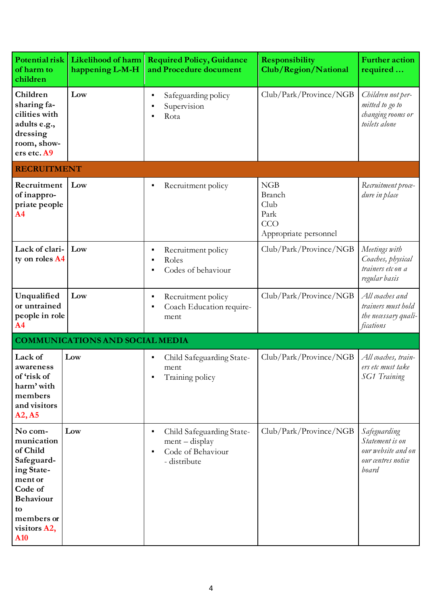| Potential risk<br>of harm to<br>children                                                                                                                       | Likelihood of harm<br>happening L-M-H  | <b>Required Policy, Guidance</b><br>and Procedure document                         | Responsibility<br>Club/Region/National                        | <b>Further action</b><br>required                                                    |
|----------------------------------------------------------------------------------------------------------------------------------------------------------------|----------------------------------------|------------------------------------------------------------------------------------|---------------------------------------------------------------|--------------------------------------------------------------------------------------|
| Children<br>sharing fa-<br>cilities with<br>adults e.g.,<br>dressing<br>room, show-<br>ers etc. A9                                                             | Low                                    | Safeguarding policy<br>Supervision<br>Rota                                         | Club/Park/Province/NGB                                        | Children not per-<br>mitted to go to<br>changing rooms or<br>toilets alone           |
| <b>RECRUITMENT</b>                                                                                                                                             |                                        |                                                                                    |                                                               |                                                                                      |
| Recruitment<br>of inappro-<br>priate people<br>A <sub>4</sub>                                                                                                  | Low                                    | Recruitment policy                                                                 | NGB<br>Branch<br>Club<br>Park<br>CCO<br>Appropriate personnel | Recruitment proce-<br>dure in place                                                  |
| Lack of clari-<br>ty on roles A4                                                                                                                               | Low                                    | Recruitment policy<br>Roles<br>Codes of behaviour                                  | Club/Park/Province/NGB                                        | Meetings with<br>Coaches, physical<br>trainers etc on a<br>regular basis             |
| Unqualified<br>or untrained<br>people in role<br>A <sub>4</sub>                                                                                                | Low                                    | Recruitment policy<br>$\blacksquare$<br>Coach Education require-<br>ment           | Club/Park/Province/NGB                                        | All coaches and<br>trainers must hold<br>the necessary quali-<br>fications           |
|                                                                                                                                                                | <b>COMMUNICATIONS AND SOCIAL MEDIA</b> |                                                                                    |                                                               |                                                                                      |
| Lack of<br>awareness<br>of 'risk of<br>harm' with<br>members<br>and visitors<br>A2, A5                                                                         | Low                                    | Child Safeguarding State-<br>ment<br>Training policy                               | Club/Park/Province/NGB                                        | All coaches, train-<br>ers etc must take<br>SG1 Training                             |
| No com-<br>munication<br>of Child<br>Safeguard-<br>ing State-<br>ment or<br>Code of<br><b>Behaviour</b><br>to<br>members or<br>visitors A2,<br>A <sub>10</sub> | Low                                    | Child Safeguarding State-<br>$ment - display$<br>Code of Behaviour<br>- distribute | Club/Park/Province/NGB                                        | Safeguarding<br>Statement is on<br>our website and on<br>our centres notice<br>board |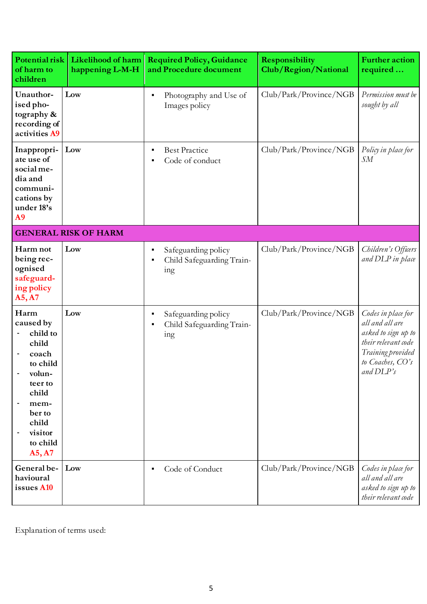| Potential risk<br>of harm to<br>children                                                                                                              | Likelihood of harm<br>happening L-M-H | <b>Required Policy, Guidance</b><br>and Procedure document | Responsibility<br>Club/Region/National | <b>Further action</b><br>required                                                                                                         |
|-------------------------------------------------------------------------------------------------------------------------------------------------------|---------------------------------------|------------------------------------------------------------|----------------------------------------|-------------------------------------------------------------------------------------------------------------------------------------------|
| Unauthor-<br>ised pho-<br>tography &<br>recording of<br>activities A9                                                                                 | Low                                   | Photography and Use of<br>Images policy                    | Club/Park/Province/NGB                 | Permission must be<br>sought by all                                                                                                       |
| Inappropri-<br>ate use of<br>social me-<br>dia and<br>communi-<br>cations by<br>under 18's<br>A <sub>9</sub>                                          | Low                                   | <b>Best Practice</b><br>Code of conduct                    | Club/Park/Province/NGB                 | Policy in place for<br>$S\!M$                                                                                                             |
|                                                                                                                                                       | <b>GENERAL RISK OF HARM</b>           |                                                            |                                        |                                                                                                                                           |
| Harm not<br>being rec-<br>ognised<br>safeguard-<br>ing policy<br>A5, A7                                                                               | Low                                   | Safeguarding policy<br>Child Safeguarding Train-<br>ing    | Club/Park/Province/NGB                 | Children's Officers<br>and DLP in place                                                                                                   |
| Harm<br>caused by<br>child to<br>child<br>coach<br>to child<br>volun-<br>teer to<br>child<br>mem-<br>ber to<br>child<br>visitor<br>to child<br>A5, A7 | Low                                   | Safeguarding policy<br>Child Safeguarding Train-<br>ing    | Club/Park/Province/NGB                 | Codes in place for<br>all and all are<br>asked to sign up to<br>their relevant code<br>Training provided<br>to Coaches, CO's<br>and DLP's |
| General be-<br>havioural<br>issues A10                                                                                                                | Low                                   | Code of Conduct                                            | Club/Park/Province/NGB                 | Codes in place for<br>all and all are<br>asked to sign up to<br>their relevant code                                                       |

Explanation of terms used: